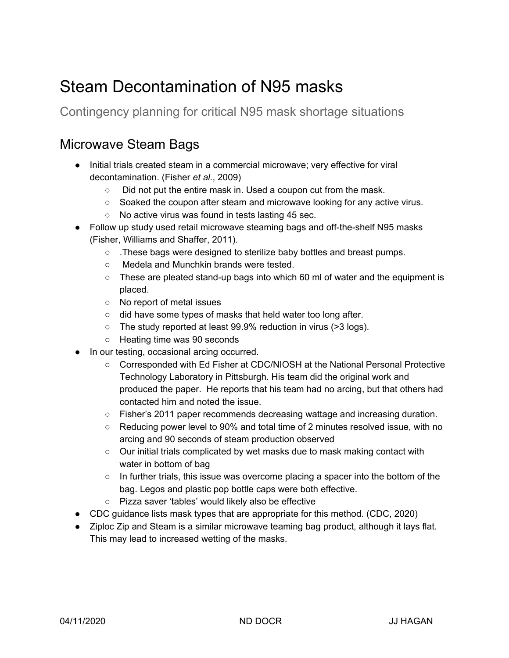## Steam Decontamination of N95 masks

Contingency planning for critical N95 mask shortage situations

## Microwave Steam Bags

- Initial trials created steam in a commercial microwave; very effective for viral decontamination. [\(Fisher](https://paperpile.com/c/D3q58E/dHPe) *et [al.](https://paperpile.com/c/D3q58E/dHPe)*, [2009\)](https://paperpile.com/c/D3q58E/dHPe)
	- Did not put the entire mask in. Used a coupon cut from the mask.
	- Soaked the coupon after steam and microwave looking for any active virus.
	- No active virus was found in tests lasting 45 sec.
- Follow up study used retail microwave steaming bags and off-the-shelf N95 masks (Fisher, [Williams](https://paperpile.com/c/D3q58E/ME8z) and Shaffer, 2011).
	- .These bags were designed to sterilize baby bottles and breast pumps.
	- Medela and Munchkin brands were tested.
	- These are pleated stand-up bags into which 60 ml of water and the equipment is placed.
	- No report of metal issues
	- did have some types of masks that held water too long after.
	- The study reported at least 99.9% reduction in virus (>3 logs).
	- Heating time was 90 seconds
- In our testing, occasional arcing occurred.
	- Corresponded with Ed Fisher at CDC/NIOSH at the National Personal Protective Technology Laboratory in Pittsburgh. His team did the original work and produced the paper. He reports that his team had no arcing, but that others had contacted him and noted the issue.
	- Fisher's 2011 paper recommends decreasing wattage and increasing duration.
	- Reducing power level to 90% and total time of 2 minutes resolved issue, with no arcing and 90 seconds of steam production observed
	- Our initial trials complicated by wet masks due to mask making contact with water in bottom of bag
	- $\circ$  In further trials, this issue was overcome placing a spacer into the bottom of the bag. Legos and plastic pop bottle caps were both effective.
	- Pizza saver 'tables' would likely also be effective
- CDC guidance lists mask types that are appropriate for this method. [\(CDC,](https://paperpile.com/c/D3q58E/vSFU) 2020)
- Ziploc Zip and Steam is a similar microwave teaming bag product, although it lays flat. This may lead to increased wetting of the masks.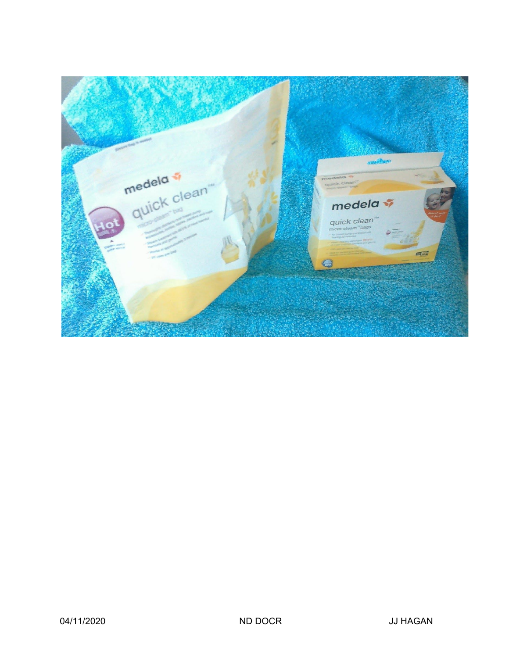